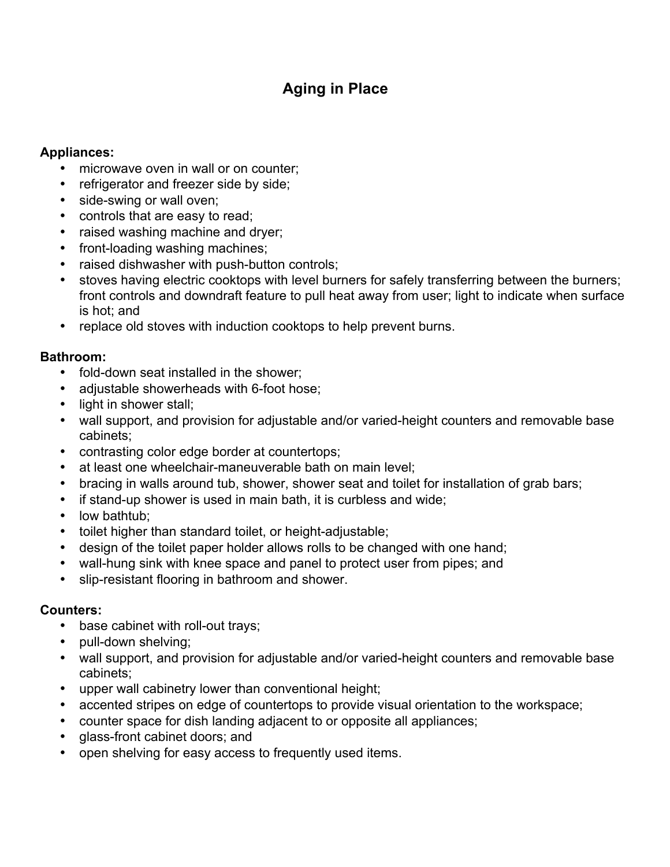# **Aging in Place**

## **Appliances:**

- microwave oven in wall or on counter;
- refrigerator and freezer side by side;
- side-swing or wall oven;
- controls that are easy to read;
- raised washing machine and dryer;
- front-loading washing machines;
- raised dishwasher with push-button controls;
- stoves having electric cooktops with level burners for safely transferring between the burners; front controls and downdraft feature to pull heat away from user; light to indicate when surface is hot; and
- replace old stoves with induction cooktops to help prevent burns.

## **Bathroom:**

- fold-down seat installed in the shower;
- adjustable showerheads with 6-foot hose;
- light in shower stall;
- wall support, and provision for adjustable and/or varied-height counters and removable base cabinets;
- contrasting color edge border at countertops;
- at least one wheelchair-maneuverable bath on main level;
- bracing in walls around tub, shower, shower seat and toilet for installation of grab bars;
- if stand-up shower is used in main bath, it is curbless and wide;
- low bathtub;
- toilet higher than standard toilet, or height-adjustable;
- design of the toilet paper holder allows rolls to be changed with one hand;
- wall-hung sink with knee space and panel to protect user from pipes; and
- slip-resistant flooring in bathroom and shower.

## **Counters:**

- base cabinet with roll-out trays;
- pull-down shelving;
- wall support, and provision for adjustable and/or varied-height counters and removable base cabinets;
- upper wall cabinetry lower than conventional height;
- accented stripes on edge of countertops to provide visual orientation to the workspace;
- counter space for dish landing adjacent to or opposite all appliances;
- glass-front cabinet doors; and
- open shelving for easy access to frequently used items.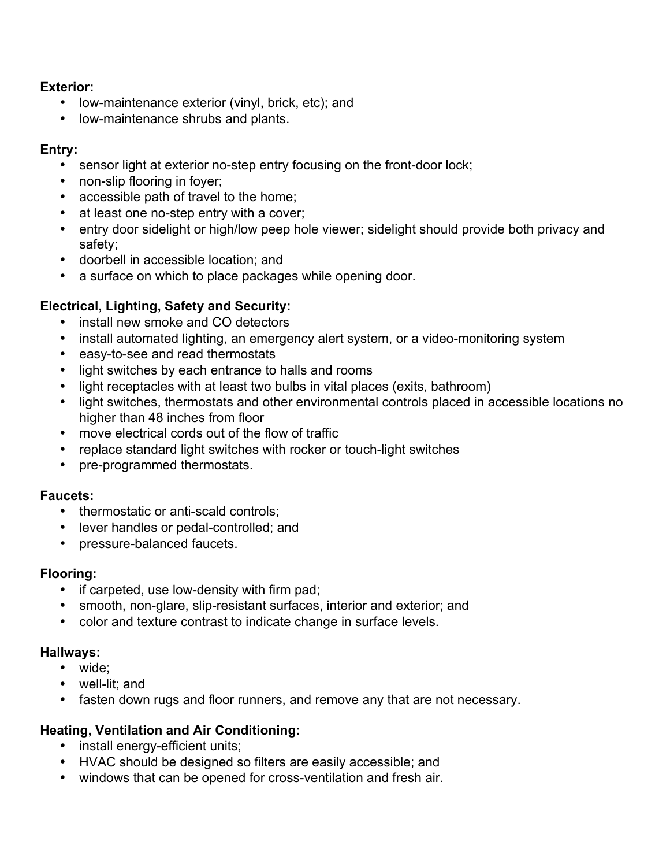## **Exterior:**

- low-maintenance exterior (vinyl, brick, etc); and
- low-maintenance shrubs and plants.

## **Entry:**

- sensor light at exterior no-step entry focusing on the front-door lock;
- non-slip flooring in foyer;
- accessible path of travel to the home;
- at least one no-step entry with a cover;
- entry door sidelight or high/low peep hole viewer; sidelight should provide both privacy and safety;
- doorbell in accessible location; and
- a surface on which to place packages while opening door.

# **Electrical, Lighting, Safety and Security:**

- install new smoke and CO detectors
- install automated lighting, an emergency alert system, or a video-monitoring system
- easy-to-see and read thermostats
- light switches by each entrance to halls and rooms
- light receptacles with at least two bulbs in vital places (exits, bathroom)
- light switches, thermostats and other environmental controls placed in accessible locations no higher than 48 inches from floor
- move electrical cords out of the flow of traffic
- replace standard light switches with rocker or touch-light switches
- pre-programmed thermostats.

## **Faucets:**

- thermostatic or anti-scald controls;
- lever handles or pedal-controlled; and
- pressure-balanced faucets.

## **Flooring:**

- if carpeted, use low-density with firm pad;
- smooth, non-glare, slip-resistant surfaces, interior and exterior; and
- color and texture contrast to indicate change in surface levels.

#### **Hallways:**

- wide;
- well-lit; and
- fasten down rugs and floor runners, and remove any that are not necessary.

## **Heating, Ventilation and Air Conditioning:**

- install energy-efficient units;
- HVAC should be designed so filters are easily accessible; and
- windows that can be opened for cross-ventilation and fresh air.